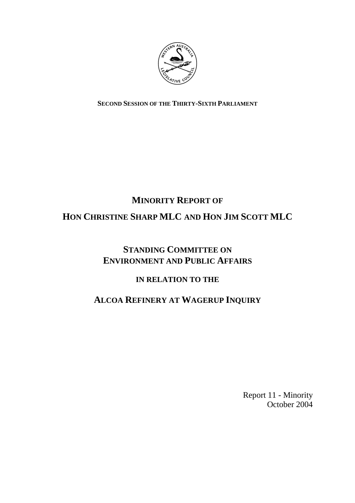

**SECOND SESSION OF THE THIRTY-SIXTH PARLIAMENT**

# **MINORITY REPORT OF HON CHRISTINE SHARP MLC AND HON JIM SCOTT MLC**

# **STANDING COMMITTEE ON ENVIRONMENT AND PUBLIC AFFAIRS**

### **IN RELATION TO THE**

# **ALCOA REFINERY AT WAGERUP INQUIRY**

Report 11 - Minority October 2004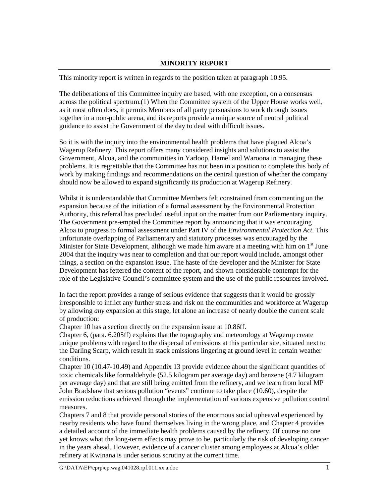#### **MINORITY REPORT**

This minority report is written in regards to the position taken at paragraph 10.95.

The deliberations of this Committee inquiry are based, with one exception, on a consensus across the political spectrum.(1) When the Committee system of the Upper House works well, as it most often does, it permits Members of all party persuasions to work through issues together in a non-public arena, and its reports provide a unique source of neutral political guidance to assist the Government of the day to deal with difficult issues.

So it is with the inquiry into the environmental health problems that have plagued Alcoa's Wagerup Refinery. This report offers many considered insights and solutions to assist the Government, Alcoa, and the communities in Yarloop, Hamel and Waroona in managing these problems. It is regrettable that the Committee has not been in a position to complete this body of work by making findings and recommendations on the central question of whether the company should now be allowed to expand significantly its production at Wagerup Refinery.

Whilst it is understandable that Committee Members felt constrained from commenting on the expansion because of the initiation of a formal assessment by the Environmental Protection Authority, this referral has precluded useful input on the matter from our Parliamentary inquiry. The Government pre-empted the Committee report by announcing that it was encouraging Alcoa to progress to formal assessment under Part IV of the *Environmental Protection Act*. This unfortunate overlapping of Parliamentary and statutory processes was encouraged by the Minister for State Development, although we made him aware at a meeting with him on  $1<sup>st</sup>$  June 2004 that the inquiry was near to completion and that our report would include, amongst other things, a section on the expansion issue. The haste of the developer and the Minister for State Development has fettered the content of the report, and shown considerable contempt for the role of the Legislative Council's committee system and the use of the public resources involved.

In fact the report provides a range of serious evidence that suggests that it would be grossly irresponsible to inflict any further stress and risk on the communities and workforce at Wagerup by allowing *any* expansion at this stage, let alone an increase of nearly double the current scale of production:

Chapter 10 has a section directly on the expansion issue at 10.86ff.

Chapter 6, (para. 6.205ff) explains that the topography and meteorology at Wagerup create unique problems with regard to the dispersal of emissions at this particular site, situated next to the Darling Scarp, which result in stack emissions lingering at ground level in certain weather conditions.

Chapter 10 (10.47-10.49) and Appendix 13 provide evidence about the significant quantities of toxic chemicals like formaldehyde (52.5 kilogram per average day) and benzene (4.7 kilogram per average day) and that are still being emitted from the refinery, and we learn from local MP John Bradshaw that serious pollution "events" continue to take place (10.60), despite the emission reductions achieved through the implementation of various expensive pollution control measures.

Chapters 7 and 8 that provide personal stories of the enormous social upheaval experienced by nearby residents who have found themselves living in the wrong place, and Chapter 4 provides a detailed account of the immediate health problems caused by the refinery. Of course no one yet knows what the long-term effects may prove to be, particularly the risk of developing cancer in the years ahead. However, evidence of a cancer cluster among employees at Alcoa's older refinery at Kwinana is under serious scrutiny at the current time.